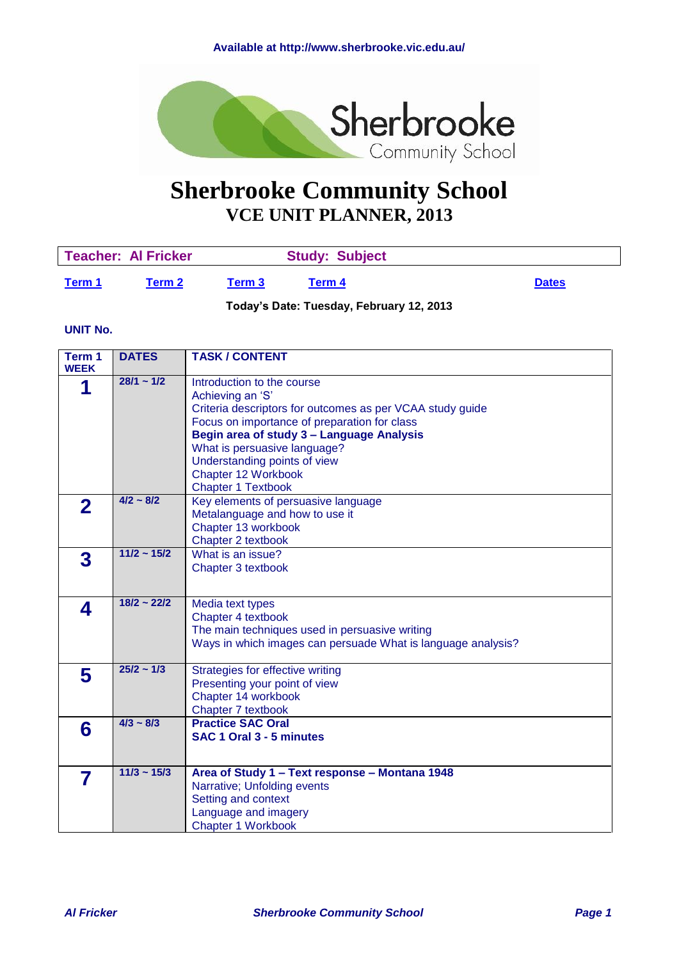<span id="page-0-1"></span>

# **Sherbrooke Community School VCE UNIT PLANNER, 2013**

| Teacher: Al Fricker |        |        | <b>Study: Subject</b> |              |
|---------------------|--------|--------|-----------------------|--------------|
| Term 1              | Term 2 | Term 3 | Term 4                | <b>Dates</b> |

**Today's Date: Tuesday, February 12, 2013**

#### **UNIT No.**

<span id="page-0-0"></span>

| Term 1<br><b>WEEK</b> | <b>DATES</b>     | <b>TASK / CONTENT</b>                                                                                                                                                                                                                                                                                                        |
|-----------------------|------------------|------------------------------------------------------------------------------------------------------------------------------------------------------------------------------------------------------------------------------------------------------------------------------------------------------------------------------|
| 1                     | $28/1 - 1/2$     | Introduction to the course<br>Achieving an 'S'<br>Criteria descriptors for outcomes as per VCAA study guide<br>Focus on importance of preparation for class<br>Begin area of study 3 - Language Analysis<br>What is persuasive language?<br>Understanding points of view<br>Chapter 12 Workbook<br><b>Chapter 1 Textbook</b> |
| 2                     | $4/2 \sim 8/2$   | Key elements of persuasive language<br>Metalanguage and how to use it<br>Chapter 13 workbook<br>Chapter 2 textbook                                                                                                                                                                                                           |
| 3                     | $11/2 \sim 15/2$ | What is an issue?<br>Chapter 3 textbook                                                                                                                                                                                                                                                                                      |
| 4                     | $18/2 - 22/2$    | Media text types<br>Chapter 4 textbook<br>The main techniques used in persuasive writing<br>Ways in which images can persuade What is language analysis?                                                                                                                                                                     |
| 5                     | $25/2 - 1/3$     | Strategies for effective writing<br>Presenting your point of view<br>Chapter 14 workbook<br>Chapter 7 textbook                                                                                                                                                                                                               |
| 6                     | $4/3 \sim 8/3$   | <b>Practice SAC Oral</b><br>SAC 1 Oral 3 - 5 minutes                                                                                                                                                                                                                                                                         |
| 7                     | $11/3 \sim 15/3$ | Area of Study 1 - Text response - Montana 1948<br>Narrative; Unfolding events<br>Setting and context<br>Language and imagery<br><b>Chapter 1 Workbook</b>                                                                                                                                                                    |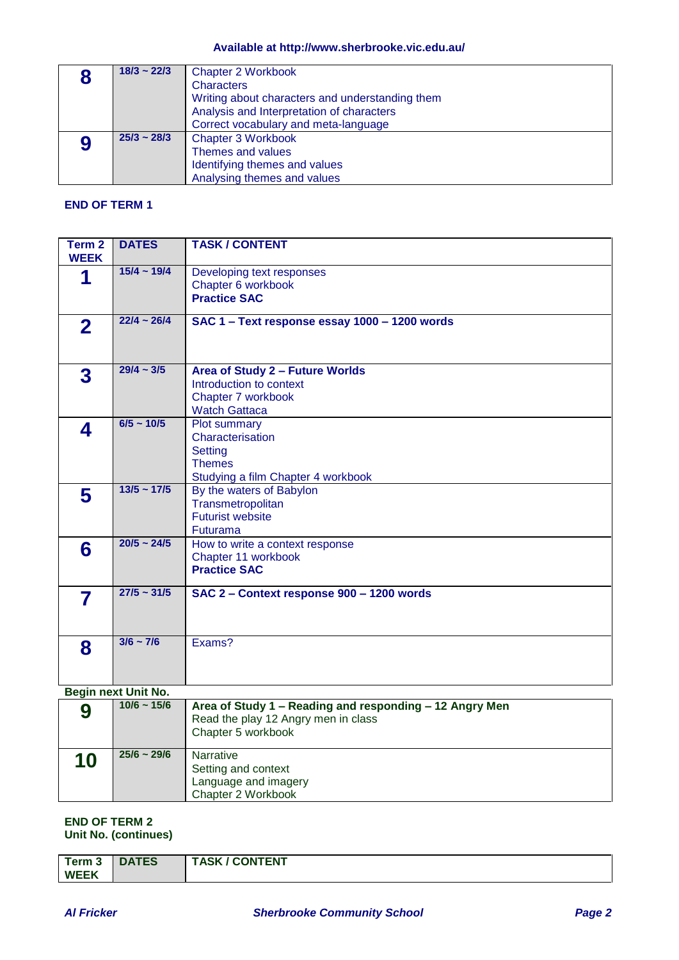#### **Available at http://www.sherbrooke.vic.edu.au/**

|   | $18/3 \sim 22/3$ | <b>Chapter 2 Workbook</b><br><b>Characters</b><br>Writing about characters and understanding them<br>Analysis and Interpretation of characters<br>Correct vocabulary and meta-language |
|---|------------------|----------------------------------------------------------------------------------------------------------------------------------------------------------------------------------------|
| 9 | $25/3 \sim 28/3$ | <b>Chapter 3 Workbook</b><br>Themes and values<br>Identifying themes and values<br>Analysing themes and values                                                                         |

### **END OF TERM 1**

| Term 2<br><b>WEEK</b> | <b>DATES</b>        | <b>TASK / CONTENT</b>                                                                                     |
|-----------------------|---------------------|-----------------------------------------------------------------------------------------------------------|
| 1                     | $15/4 \sim 19/4$    | Developing text responses<br>Chapter 6 workbook<br><b>Practice SAC</b>                                    |
| $\mathbf 2$           | $22/4 - 26/4$       | SAC 1 - Text response essay 1000 - 1200 words                                                             |
| 3                     | $29/4 \sim 3/5$     | Area of Study 2 - Future Worlds<br>Introduction to context<br>Chapter 7 workbook<br><b>Watch Gattaca</b>  |
| 4                     | $6/5 \sim 10/5$     | Plot summary<br>Characterisation<br><b>Setting</b><br><b>Themes</b><br>Studying a film Chapter 4 workbook |
| 5                     | $13/5 \sim 17/5$    | By the waters of Babylon<br>Transmetropolitan<br><b>Futurist website</b><br>Futurama                      |
| 6                     | $20/5 \sim 24/5$    | How to write a context response<br>Chapter 11 workbook<br><b>Practice SAC</b>                             |
| 7                     | $27/5 \sim 31/5$    | SAC 2 - Context response 900 - 1200 words                                                                 |
| 8                     | $3/6 \sim 7/6$      | Exams?                                                                                                    |
|                       | Begin next Unit No. |                                                                                                           |
| $\mathbf o$           | $10/6 \sim 15/6$    | Area of Study 1 - Reading and responding - 12 Angry Men                                                   |

| 9  | $10/6 \sim 15/6$ | Area of Study 1 – Reading and responding – 12 Angry Men<br>Read the play 12 Angry men in class<br>Chapter 5 workbook |
|----|------------------|----------------------------------------------------------------------------------------------------------------------|
| 10 | $25/6 - 29/6$    | <b>Narrative</b><br>Setting and context<br>Language and imagery<br>Chapter 2 Workbook                                |

#### **END OF TERM 2 Unit No. (continues)**

| Term 3      | <b>DATES</b> | <b>TASK / CONTENT</b> |
|-------------|--------------|-----------------------|
| <b>WEEK</b> |              |                       |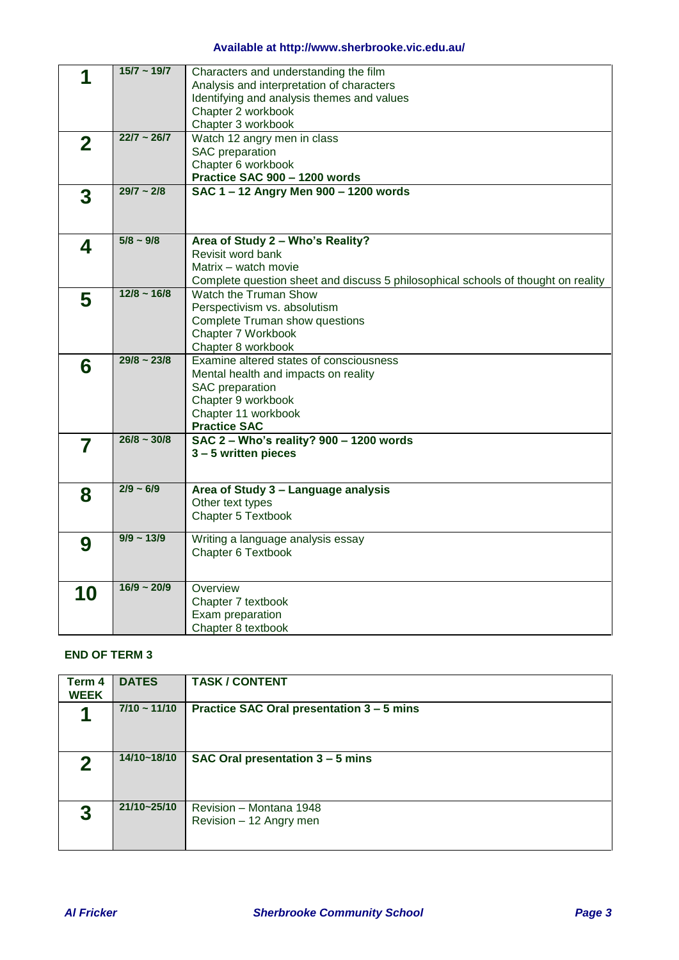## **Available at http://www.sherbrooke.vic.edu.au/**

|                         | $15/7 - 19/7$    | Characters and understanding the film                                             |
|-------------------------|------------------|-----------------------------------------------------------------------------------|
|                         |                  | Analysis and interpretation of characters                                         |
|                         |                  | Identifying and analysis themes and values                                        |
|                         |                  | Chapter 2 workbook                                                                |
|                         |                  | Chapter 3 workbook                                                                |
|                         | $22/7 \sim 26/7$ | Watch 12 angry men in class                                                       |
| $\overline{\mathbf{2}}$ |                  | SAC preparation                                                                   |
|                         |                  | Chapter 6 workbook                                                                |
|                         |                  | Practice SAC 900 - 1200 words                                                     |
|                         | $29/7 - 2/8$     | SAC 1-12 Angry Men 900-1200 words                                                 |
| 3                       |                  |                                                                                   |
|                         |                  |                                                                                   |
|                         |                  |                                                                                   |
|                         | $5/8 \sim 9/8$   | Area of Study 2 - Who's Reality?                                                  |
| 4                       |                  | Revisit word bank                                                                 |
|                         |                  | Matrix - watch movie                                                              |
|                         |                  | Complete question sheet and discuss 5 philosophical schools of thought on reality |
|                         | $12/8 \sim 16/8$ | Watch the Truman Show                                                             |
| 5                       |                  | Perspectivism vs. absolutism                                                      |
|                         |                  | <b>Complete Truman show questions</b>                                             |
|                         |                  | Chapter 7 Workbook                                                                |
|                         |                  |                                                                                   |
|                         | $29/8 \sim 23/8$ | Chapter 8 workbook                                                                |
| 6                       |                  | Examine altered states of consciousness                                           |
|                         |                  | Mental health and impacts on reality                                              |
|                         |                  | SAC preparation                                                                   |
|                         |                  | Chapter 9 workbook                                                                |
|                         |                  | Chapter 11 workbook                                                               |
|                         |                  | <b>Practice SAC</b>                                                               |
| 7                       | $26/8 \sim 30/8$ | SAC 2 - Who's reality? 900 - 1200 words                                           |
|                         |                  | 3-5 written pieces                                                                |
|                         |                  |                                                                                   |
|                         | $2/9 - 6/9$      |                                                                                   |
| 8                       |                  | Area of Study 3 - Language analysis                                               |
|                         |                  | Other text types                                                                  |
|                         |                  | Chapter 5 Textbook                                                                |
|                         | $9/9 \sim 13/9$  | Writing a language analysis essay                                                 |
| 9                       |                  | Chapter 6 Textbook                                                                |
|                         |                  |                                                                                   |
|                         |                  |                                                                                   |
|                         | $16/9 \sim 20/9$ | Overview                                                                          |
| 10                      |                  | Chapter 7 textbook                                                                |
|                         |                  | Exam preparation                                                                  |
|                         |                  | Chapter 8 textbook                                                                |
|                         |                  |                                                                                   |

#### **END OF TERM 3**

<span id="page-2-0"></span>

| Term 4<br><b>WEEK</b> | <b>DATES</b>      | <b>TASK / CONTENT</b>                              |
|-----------------------|-------------------|----------------------------------------------------|
|                       | $7/10 \sim 11/10$ | Practice SAC Oral presentation 3 - 5 mins          |
| 2                     | 14/10~18/10       | SAC Oral presentation 3 - 5 mins                   |
| 3                     | 21/10~25/10       | Revision - Montana 1948<br>Revision - 12 Angry men |